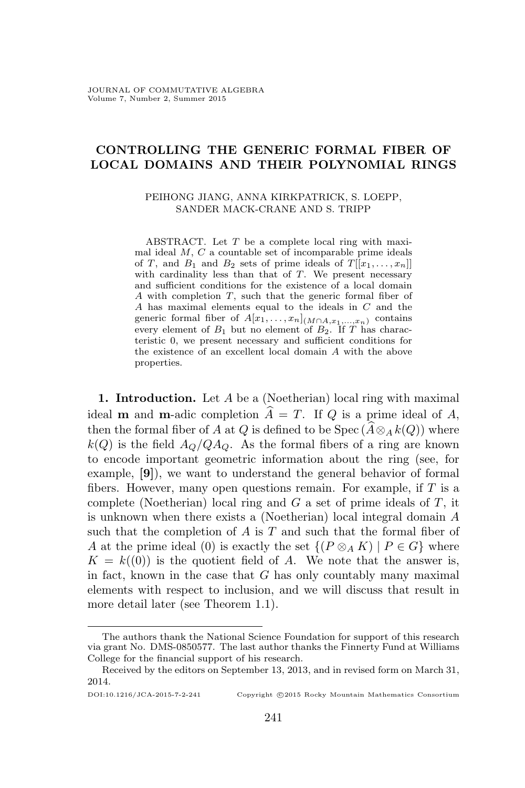# **CONTROLLING THE GENERIC FORMAL FIBER OF LOCAL DOMAINS AND THEIR POLYNOMIAL RINGS**

### PEIHONG JIANG, ANNA KIRKPATRICK, S. LOEPP, SANDER MACK-CRANE AND S. TRIPP

ABSTRACT. Let *T* be a complete local ring with maximal ideal *M*, *C* a countable set of incomparable prime ideals of *T*, and *B*<sub>1</sub> and *B*<sub>2</sub> sets of prime ideals of  $T[[x_1, \ldots, x_n]]$ with cardinality less than that of *T*. We present necessary and sufficient conditions for the existence of a local domain *A* with completion *T*, such that the generic formal fiber of *A* has maximal elements equal to the ideals in *C* and the generic formal fiber of  $A[x_1, \ldots, x_n]$ <sub>(*M*∩*A*,*x*<sub>1</sub>,...,*x*<sub>*n*</sub>)</sub> contains every element of  $B_1$  but no element of  $B_2$ . If *T* has characteristic 0, we present necessary and sufficient conditions for the existence of an excellent local domain *A* with the above properties.

**1. Introduction.** Let *A* be a (Noetherian) local ring with maximal ideal **m** and **m**-adic completion  $\widehat{A} = T$ . If *Q* is a prime ideal of *A*, then the formal fiber of *A* at *Q* is defined to be Spec ( $\widehat{A} \otimes_A k(Q)$ ) where  $k(Q)$  is the field  $A_Q/QA_Q$ . As the formal fibers of a ring are known to encode important geometric information about the ring (see, for example, **[9]**), we want to understand the general behavior of formal fibers. However, many open questions remain. For example, if *T* is a complete (Noetherian) local ring and *G* a set of prime ideals of *T*, it is unknown when there exists a (Noetherian) local integral domain *A* such that the completion of *A* is *T* and such that the formal fiber of *A* at the prime ideal (0) is exactly the set  $\{(P \otimes_A K) | P \in G\}$  where  $K = k(0)$  is the quotient field of *A*. We note that the answer is, in fact, known in the case that *G* has only countably many maximal elements with respect to inclusion, and we will discuss that result in more detail later (see Theorem 1.1).

#### DOI:10.1216/JCA-2015-7-2-241 Copyright *©*2015 Rocky Mountain Mathematics Consortium

The authors thank the National Science Foundation for support of this research via grant No. DMS-0850577. The last author thanks the Finnerty Fund at Williams College for the financial support of his research.

Received by the editors on September 13, 2013, and in revised form on March 31, 2014.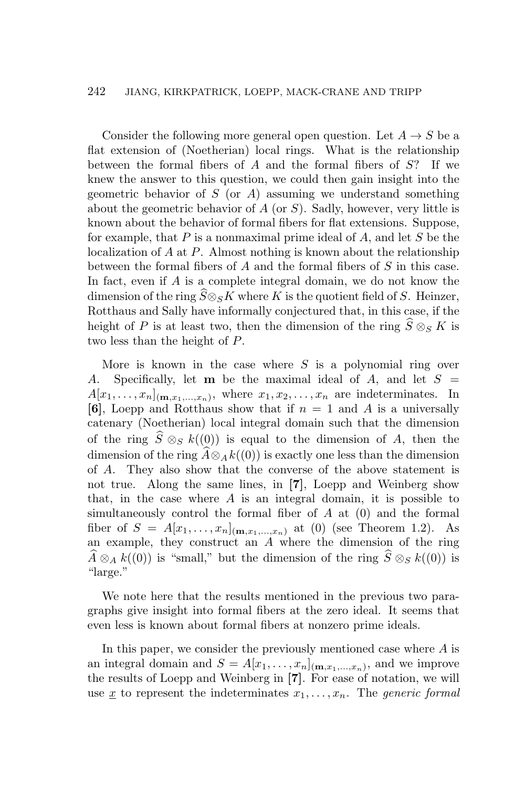Consider the following more general open question. Let  $A \rightarrow S$  be a flat extension of (Noetherian) local rings. What is the relationship between the formal fibers of *A* and the formal fibers of *S*? If we knew the answer to this question, we could then gain insight into the geometric behavior of *S* (or *A*) assuming we understand something about the geometric behavior of *A* (or *S*). Sadly, however, very little is known about the behavior of formal fibers for flat extensions. Suppose, for example, that *P* is a nonmaximal prime ideal of *A*, and let *S* be the localization of *A* at *P*. Almost nothing is known about the relationship between the formal fibers of *A* and the formal fibers of *S* in this case. In fact, even if *A* is a complete integral domain, we do not know the dimension of the ring  $\widehat{S} \otimes_S K$  where *K* is the quotient field of *S*. Heinzer, Rotthaus and Sally have informally conjectured that, in this case, if the height of *P* is at least two, then the dimension of the ring  $\widehat{S} \otimes_S K$  is two less than the height of *P*.

More is known in the case where *S* is a polynomial ring over *A*. Specifically, let **m** be the maximal ideal of *A*, and let *S* =  $A[x_1, \ldots, x_n]_{(\mathbf{m},x_1,\ldots,x_n)}$ , where  $x_1, x_2, \ldots, x_n$  are indeterminates. In **[6]**, Loepp and Rotthaus show that if  $n = 1$  and A is a universally catenary (Noetherian) local integral domain such that the dimension of the ring  $\hat{S} \otimes_{S} k((0))$  is equal to the dimension of *A*, then the dimension of the ring  $\widehat{A} \otimes_A k((0))$  is exactly one less than the dimension of *A*. They also show that the converse of the above statement is not true. Along the same lines, in **[7]**, Loepp and Weinberg show that, in the case where *A* is an integral domain, it is possible to simultaneously control the formal fiber of *A* at (0) and the formal fiber of  $S = A[x_1, ..., x_n]_{(\mathbf{m},x_1,...,x_n)}$  at (0) (see Theorem 1.2). As an example, they construct an *A* where the dimension of the ring  $\widehat{A} \otimes_A k((0))$  is "small," but the dimension of the ring  $\widehat{S} \otimes_S k((0))$  is "large."

We note here that the results mentioned in the previous two paragraphs give insight into formal fibers at the zero ideal. It seems that even less is known about formal fibers at nonzero prime ideals.

In this paper, we consider the previously mentioned case where *A* is an integral domain and  $S = A[x_1, \ldots, x_n]_{(\mathbf{m},x_1,\ldots,x_n)}$ , and we improve the results of Loepp and Weinberg in **[7]**. For ease of notation, we will use  $\underline{x}$  to represent the indeterminates  $x_1, \ldots, x_n$ . The *generic formal*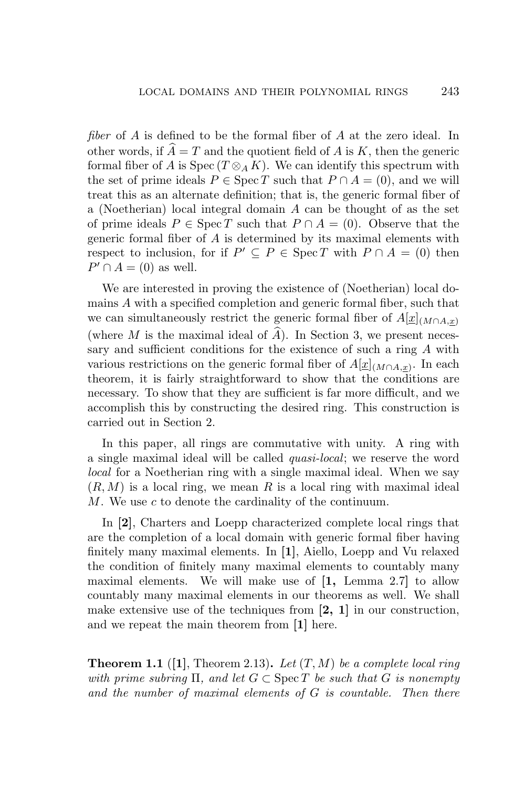*fiber* of *A* is defined to be the formal fiber of *A* at the zero ideal. In other words, if  $A = T$  and the quotient field of *A* is *K*, then the generic formal fiber of *A* is  $Spec(T \otimes_A K)$ . We can identify this spectrum with the set of prime ideals  $P \in \text{Spec } T$  such that  $P \cap A = (0)$ , and we will treat this as an alternate definition; that is, the generic formal fiber of a (Noetherian) local integral domain *A* can be thought of as the set of prime ideals  $P \in \text{Spec } T$  such that  $P \cap A = (0)$ . Observe that the generic formal fiber of *A* is determined by its maximal elements with respect to inclusion, for if  $P' \subseteq P \in \text{Spec } T$  with  $P \cap A = (0)$  then  $P' \cap A = (0)$  as well.

We are interested in proving the existence of (Noetherian) local domains *A* with a specified completion and generic formal fiber, such that we can simultaneously restrict the generic formal fiber of  $A[\underline{x}]_{(M \cap A,x)}$ (where  $M$  is the maximal ideal of  $A$ ). In Section 3, we present necessary and sufficient conditions for the existence of such a ring *A* with various restrictions on the generic formal fiber of  $A[\underline{x}]_{(M \cap A, \underline{x})}$ . In each theorem, it is fairly straightforward to show that the conditions are necessary. To show that they are sufficient is far more difficult, and we accomplish this by constructing the desired ring. This construction is carried out in Section 2.

In this paper, all rings are commutative with unity. A ring with a single maximal ideal will be called *quasi-local*; we reserve the word *local* for a Noetherian ring with a single maximal ideal. When we say  $(R, M)$  is a local ring, we mean R is a local ring with maximal ideal *M*. We use *c* to denote the cardinality of the continuum.

In **[2]**, Charters and Loepp characterized complete local rings that are the completion of a local domain with generic formal fiber having finitely many maximal elements. In **[1]**, Aiello, Loepp and Vu relaxed the condition of finitely many maximal elements to countably many maximal elements. We will make use of **[1,** Lemma 2.7**]** to allow countably many maximal elements in our theorems as well. We shall make extensive use of the techniques from **[2, 1]** in our construction, and we repeat the main theorem from **[1]** here.

**Theorem 1.1** (**[1]**, Theorem 2.13)**.** *Let* (*T, M*) *be a complete local ring with prime subring*  $\Pi$ *, and let*  $G \subset \text{Spec } T$  *be such that*  $G$  *is nonempty and the number of maximal elements of G is countable. Then there*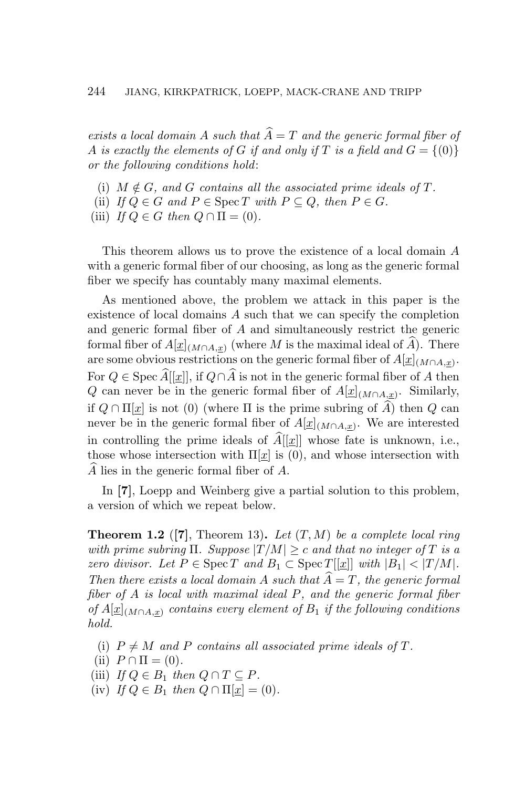*exists a local domain* A *such that*  $\widehat{A} = T$  *and the generic formal fiber of A* is exactly the elements of *G* if and only if *T* is a field and  $G = \{(0)\}$ *or the following conditions hold*:

- (i)  $M \notin G$ , and  $G$  contains all the associated prime ideals of  $T$ .
- (ii) *If*  $Q \in G$  *and*  $P \in \text{Spec } T$  *with*  $P \subseteq Q$ *, then*  $P \in G$ *.*
- (iii) *If*  $Q \in G$  *then*  $Q \cap \Pi = (0)$ *.*

This theorem allows us to prove the existence of a local domain *A* with a generic formal fiber of our choosing, as long as the generic formal fiber we specify has countably many maximal elements.

As mentioned above, the problem we attack in this paper is the existence of local domains *A* such that we can specify the completion and generic formal fiber of *A* and simultaneously restrict the generic formal fiber of  $A[\underline{x}]_{(M \cap A, \underline{x})}$  (where M is the maximal ideal of  $\widehat{A}$ ). There are some obvious restrictions on the generic formal fiber of  $A[\underline{x}]_{(M \cap A, \underline{x})}$ . For  $Q \in \text{Spec } \widehat{A}[[\underline{x}]]$ , if  $Q \cap \widehat{A}$  is not in the generic formal fiber of *A* then *Q* can never be in the generic formal fiber of *A*[*x*](*M∩A,x*) . Similarly, if  $Q \cap \Pi[x]$  is not (0) (where  $\Pi$  is the prime subring of  $\widehat{A}$ ) then  $Q$  can never be in the generic formal fiber of  $A[\underline{x}]_{(M \cap A, \underline{x})}$ . We are interested in controlling the prime ideals of  $\widehat{A}[[x]]$  whose fate is unknown, i.e., those whose intersection with  $\Pi[\underline{x}]$  is (0), and whose intersection with *A*b lies in the generic formal fiber of *A*.

In **[7]**, Loepp and Weinberg give a partial solution to this problem, a version of which we repeat below.

**Theorem 1.2** (**[7]**, Theorem 13)**.** *Let* (*T, M*) *be a complete local ring with prime subring*  $\Pi$ *. Suppose*  $|T/M| \geq c$  *and that no integer of*  $T$  *is a zero divisor.* Let  $P \in \text{Spec } T$  and  $B_1 \subset \text{Spec } T[[\underline{x}]]$  with  $|B_1| < |T/M|$ . *Then there exists a local domain A such that*  $A = T$ *, the generic formal fiber of A is local with maximal ideal P, and the generic formal fiber of*  $A[x]$ <sub>(*M*∩*A,x*) *contains every element of*  $B_1$  *if the following conditions*</sub> *hold.*

- (i)  $P \neq M$  and P contains all associated prime ideals of T.
- (ii)  $P \cap \Pi = (0)$ .
- (iii) *If*  $Q \in B_1$  *then*  $Q \cap T \subseteq P$ *.*
- $(iv)$  *If*  $Q \in B_1$  *then*  $Q \cap \Pi[\underline{x}] = (0)$ *.*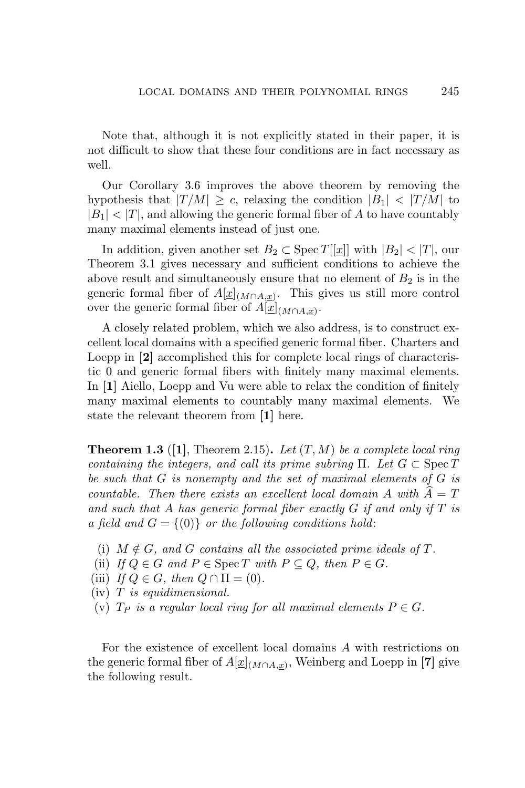Note that, although it is not explicitly stated in their paper, it is not difficult to show that these four conditions are in fact necessary as well.

Our Corollary 3.6 improves the above theorem by removing the hypothesis that  $|T/M| \geq c$ , relaxing the condition  $|B_1| < |T/M|$  to  $|B_1|$   $\lt$   $|T|$ , and allowing the generic formal fiber of *A* to have countably many maximal elements instead of just one.

In addition, given another set  $B_2 \subset \text{Spec } T[[x]]$  with  $|B_2| < |T|$ , our Theorem 3.1 gives necessary and sufficient conditions to achieve the above result and simultaneously ensure that no element of  $B_2$  is in the generic formal fiber of  $A[\underline{x}]_{(M \cap A, \underline{x})}$ . This gives us still more control over the generic formal fiber of  $A[\underline{x}]_{(M \cap A, \underline{x})}$ .

A closely related problem, which we also address, is to construct excellent local domains with a specified generic formal fiber. Charters and Loepp in **[2]** accomplished this for complete local rings of characteristic 0 and generic formal fibers with finitely many maximal elements. In **[1]** Aiello, Loepp and Vu were able to relax the condition of finitely many maximal elements to countably many maximal elements. We state the relevant theorem from **[1]** here.

**Theorem 1.3** (**[1]**, Theorem 2.15)**.** *Let* (*T, M*) *be a complete local ring containing the integers, and call its prime subring*  $\Pi$ . Let  $G \subset \text{Spec } T$ *be such that G is nonempty and the set of maximal elements of G is countable. Then there exists an excellent local domain*  $A$  *with*  $A = T$ *and such that A has generic formal fiber exactly G if and only if T is a field and*  $G = \{(0)\}$  *or the following conditions hold:* 

- (i)  $M \notin G$ , and  $G$  contains all the associated prime ideals of  $T$ .
- (ii) *If*  $Q \in G$  *and*  $P \in \text{Spec } T$  *with*  $P \subseteq Q$ *, then*  $P \in G$ *.*
- (iii) *If*  $Q \in G$ *, then*  $Q \cap \Pi = (0)$ *.*
- (iv) *T is equidimensional.*
- (v)  $T_P$  *is a regular local ring for all maximal elements*  $P \in G$ *.*

For the existence of excellent local domains *A* with restrictions on the generic formal fiber of  $A[\underline{x}]_{(M \cap A, \underline{x})}$ , Weinberg and Loepp in [7] give the following result.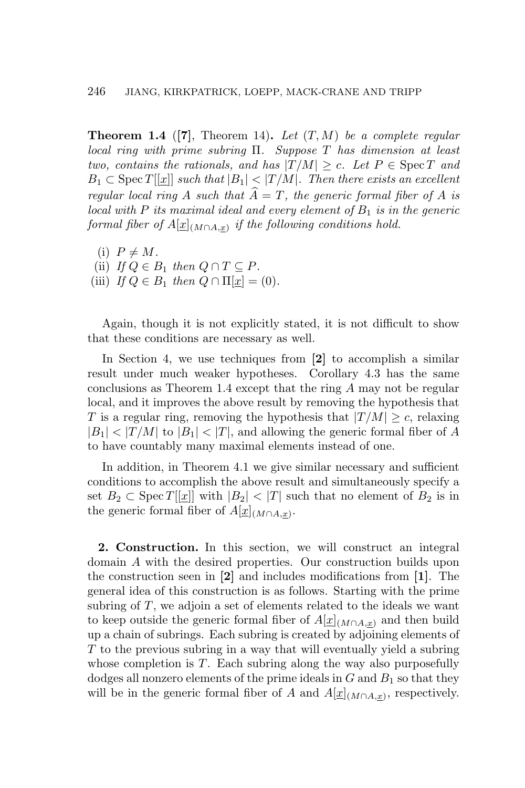**Theorem 1.4** (**[7]**, Theorem 14)**.** *Let* (*T, M*) *be a complete regular local ring with prime subring* Π*. Suppose T has dimension at least two, contains the rationals, and has*  $|T/M| \ge c$ *. Let*  $P \in \text{Spec } T$  *and B*<sub>1</sub> ⊂ Spec *T*[ $[x]$ ] *such that*  $|B_1|$  <  $|T/M|$ *. Then there exists an excellent regular local ring A such that*  $\overline{A} = T$ *, the generic formal fiber of A is local with*  $P$  *its maximal ideal and every element of*  $B_1$  *is in the generic*  $\emph{formal fiber of } A[\underline{x}]_{(M\cap A,\underline{x})} \emph{ if the following conditions hold.}$ 

 $(i)$   $P \neq M$ . (ii) *If*  $Q \in B_1$  *then*  $Q \cap T \subseteq P$ *.* (iii) *If*  $Q \in B_1$  *then*  $Q \cap \Pi[\underline{x}] = (0)$ *.* 

Again, though it is not explicitly stated, it is not difficult to show that these conditions are necessary as well.

In Section 4, we use techniques from **[2]** to accomplish a similar result under much weaker hypotheses. Corollary 4.3 has the same conclusions as Theorem 1.4 except that the ring *A* may not be regular local, and it improves the above result by removing the hypothesis that *T* is a regular ring, removing the hypothesis that  $|T/M| \ge c$ , relaxing  $|B_1|$   $\lt$   $|T/M|$  to  $|B_1|$   $\lt$   $|T|$ , and allowing the generic formal fiber of *A* to have countably many maximal elements instead of one.

In addition, in Theorem 4.1 we give similar necessary and sufficient conditions to accomplish the above result and simultaneously specify a set  $B_2 \subset \text{Spec } T[[x]]$  with  $|B_2| < |T|$  such that no element of  $B_2$  is in the generic formal fiber of  $A[\underline{x}]_{(M \cap A, \underline{x})}$ .

**2. Construction.** In this section, we will construct an integral domain *A* with the desired properties. Our construction builds upon the construction seen in **[2]** and includes modifications from **[1]**. The general idea of this construction is as follows. Starting with the prime subring of *T*, we adjoin a set of elements related to the ideals we want to keep outside the generic formal fiber of  $A[\underline{x}]_{(M \cap A,x)}$  and then build up a chain of subrings. Each subring is created by adjoining elements of *T* to the previous subring in a way that will eventually yield a subring whose completion is *T*. Each subring along the way also purposefully dodges all nonzero elements of the prime ideals in  $G$  and  $B_1$  so that they will be in the generic formal fiber of *A* and  $A[\underline{x}]_{(M \cap A, \underline{x})}$ , respectively.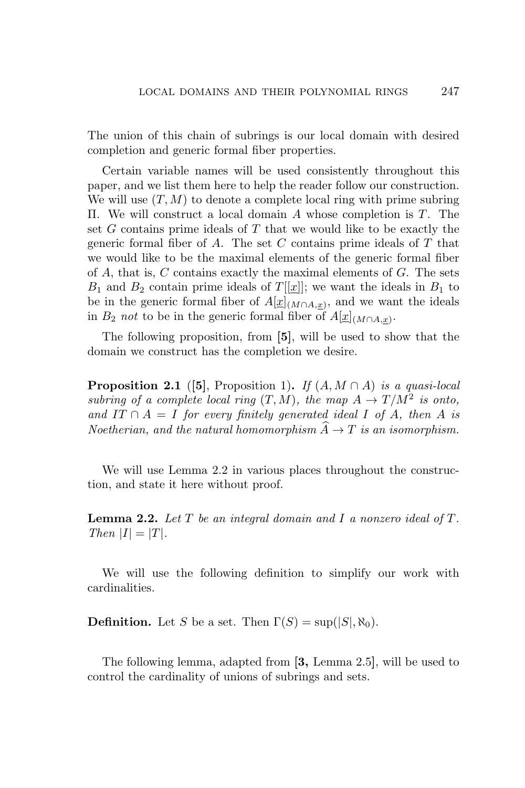The union of this chain of subrings is our local domain with desired completion and generic formal fiber properties.

Certain variable names will be used consistently throughout this paper, and we list them here to help the reader follow our construction. We will use  $(T, M)$  to denote a complete local ring with prime subring Π. We will construct a local domain *A* whose completion is *T*. The set *G* contains prime ideals of *T* that we would like to be exactly the generic formal fiber of *A*. The set *C* contains prime ideals of *T* that we would like to be the maximal elements of the generic formal fiber of *A*, that is, *C* contains exactly the maximal elements of *G*. The sets  $B_1$  and  $B_2$  contain prime ideals of  $T[[x]]$ ; we want the ideals in  $B_1$  to be in the generic formal fiber of  $A[\underline{x}]_{(M \cap A, \underline{x})}$ , and we want the ideals in *B*<sub>2</sub> *not* to be in the generic formal fiber of  $A[\underline{x}]_{(M \cap A, \underline{x})}$ .

The following proposition, from **[5]**, will be used to show that the domain we construct has the completion we desire.

**Proposition 2.1** ([5], Proposition 1). If  $(A, M \cap A)$  is a quasi-local *subring of a complete local ring*  $(T, M)$ *, the map*  $A \to T/M^2$  *is onto, and*  $IT \cap A = I$  *for every finitely generated ideal I of A, then A is Noetherian, and the natural homomorphism*  $\widehat{A} \to T$  *is an isomorphism.* 

We will use Lemma 2.2 in various places throughout the construction, and state it here without proof.

**Lemma 2.2.** *Let T be an integral domain and I a nonzero ideal of T. Then*  $|I| = |T|$ *.* 

We will use the following definition to simplify our work with cardinalities.

**Definition.** Let *S* be a set. Then  $\Gamma(S) = \sup(|S|, \aleph_0)$ .

The following lemma, adapted from **[3,** Lemma 2.5**]**, will be used to control the cardinality of unions of subrings and sets.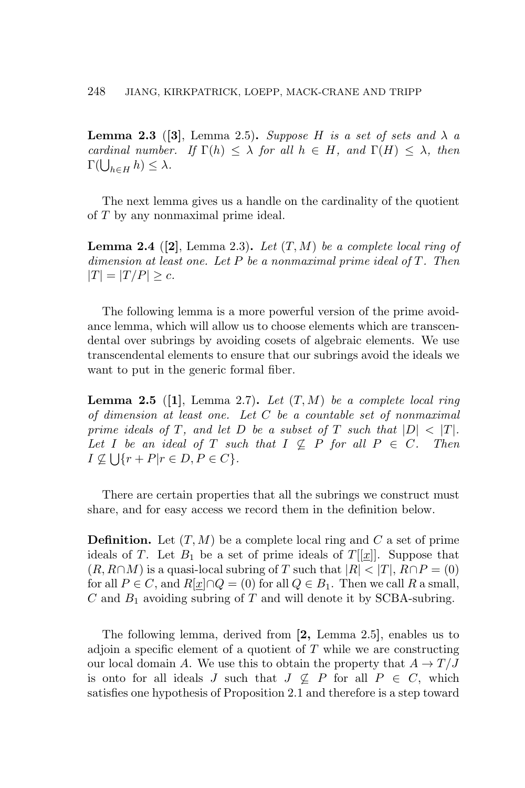**Lemma 2.3** ([3], Lemma 2.5). *Suppose H is a set of sets and*  $\lambda$  *a cardinal number.* If  $\Gamma(h) \leq \lambda$  *for all*  $h \in H$ *, and*  $\Gamma(H) \leq \lambda$ *, then*  $\Gamma(\bigcup_{h\in H} h) \leq \lambda.$ 

The next lemma gives us a handle on the cardinality of the quotient of *T* by any nonmaximal prime ideal.

**Lemma 2.4** ([2], Lemma 2.3). Let  $(T, M)$  be a complete local ring of *dimension at least one. Let P be a nonmaximal prime ideal of T. Then*  $|T| = |T/P| \geq c$ *.* 

The following lemma is a more powerful version of the prime avoidance lemma, which will allow us to choose elements which are transcendental over subrings by avoiding cosets of algebraic elements. We use transcendental elements to ensure that our subrings avoid the ideals we want to put in the generic formal fiber.

**Lemma 2.5** (**[1]**, Lemma 2.7)**.** *Let* (*T, M*) *be a complete local ring of dimension at least one. Let C be a countable set of nonmaximal prime ideals of T, and let D be a subset of T such that*  $|D| < |T|$ *. Let I be an ideal of T such that*  $I \nsubseteq P$  *for all*  $P \in C$ *. Then*  $I \nsubseteq \bigcup \{r + P | r \in D, P \in C\}.$ 

There are certain properties that all the subrings we construct must share, and for easy access we record them in the definition below.

**Definition.** Let  $(T, M)$  be a complete local ring and  $C$  a set of prime ideals of *T*. Let  $B_1$  be a set of prime ideals of *T*[[*x*]]. Suppose that  $(R, R \cap M)$  is a quasi-local subring of *T* such that  $|R| < |T|$ ,  $R \cap P = (0)$ for all  $P \in C$ , and  $R[x] \cap Q = (0)$  for all  $Q \in B_1$ . Then we call R a small, *C* and *B*<sup>1</sup> avoiding subring of *T* and will denote it by SCBA-subring.

The following lemma, derived from **[2,** Lemma 2.5**]**, enables us to adjoin a specific element of a quotient of *T* while we are constructing our local domain *A*. We use this to obtain the property that  $A \to T/J$ is onto for all ideals *J* such that  $J \nsubseteq P$  for all  $P \in C$ , which satisfies one hypothesis of Proposition 2.1 and therefore is a step toward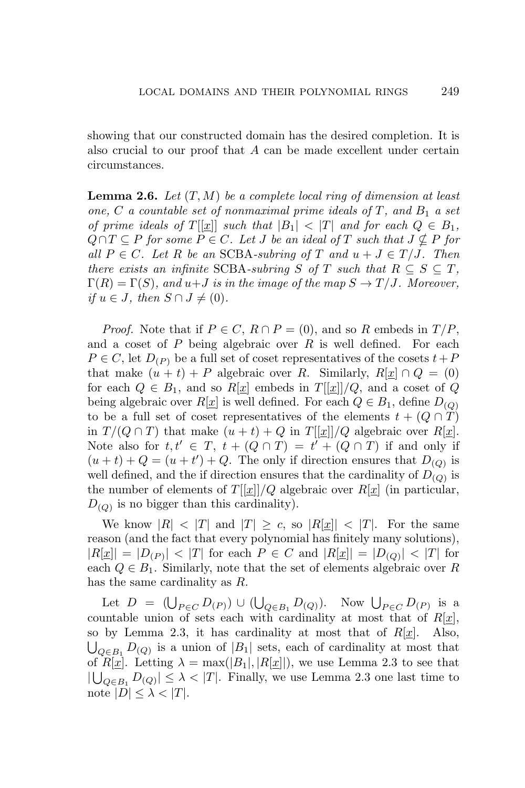showing that our constructed domain has the desired completion. It is also crucial to our proof that *A* can be made excellent under certain circumstances.

**Lemma 2.6.** *Let* (*T, M*) *be a complete local ring of dimension at least one,*  $C$  *a countable set of nonmaximal prime ideals of*  $T$ *, and*  $B_1$  *a set of prime ideals of*  $T[[\underline{x}]]$  *such that*  $|B_1| < |T|$  *and for each*  $Q \in B_1$ *,*  $Q \cap T \subseteq P$  *for some*  $P \in C$ *. Let J be an ideal of*  $T$  *such that*  $J \nsubseteq P$  *for*  $all P \in C$ *. Let R be an* SCBA-subring of *T* and  $u + J \in T/J$ *. Then there exists an infinite* SCBA-subring *S* of *T* such that  $R \subseteq S \subseteq T$ ,  $\Gamma(R) = \Gamma(S)$ , and  $u + J$  is in the image of the map  $S \to T/J$ . Moreover,  $if u \in J$ *, then*  $S \cap J \neq (0)$ *.* 

*Proof.* Note that if  $P \in C$ ,  $R \cap P = (0)$ , and so R embeds in  $T/P$ , and a coset of *P* being algebraic over *R* is well defined. For each  $P \in C$ , let  $D_{(P)}$  be a full set of coset representatives of the cosets  $t + P$ that make  $(u + t) + P$  algebraic over *R*. Similarly,  $R[x] \cap Q = (0)$ for each  $Q \in B_1$ , and so  $R[\underline{x}]$  embeds in  $T[[\underline{x}]]/Q$ , and a coset of  $Q$ being algebraic over  $R[\underline{x}]$  is well defined. For each  $Q \in B_1$ , define  $D_{(Q)}$ to be a full set of coset representatives of the elements  $t + (Q \cap T)$ in  $T/(Q \cap T)$  that make  $(u + t) + Q$  in  $T[[x]]/Q$  algebraic over  $R[x]$ . Note also for  $t, t' \in T$ ,  $t + (Q \cap T) = t' + (Q \cap T)$  if and only if  $(u + t) + Q = (u + t') + Q$ . The only if direction ensures that  $D_{(Q)}$  is well defined, and the if direction ensures that the cardinality of  $D_{(Q)}$  is the number of elements of  $T[[x]]/Q$  algebraic over  $R[x]$  (in particular,  $D_{(Q)}$  is no bigger than this cardinality).

We know  $|R| \leq |T|$  and  $|T| \geq c$ , so  $|R[x]| \leq |T|$ . For the same reason (and the fact that every polynomial has finitely many solutions),  $|R[\underline{x}]| = |D_{(P)}| < |T|$  for each  $P \in C$  and  $|R[\underline{x}]| = |D_{(Q)}| < |T|$  for each  $Q \in B_1$ . Similarly, note that the set of elements algebraic over R has the same cardinality as *R*.

Let  $D = (\bigcup_{P \in C} D(P)) \cup (\bigcup_{Q \in B_1} D(Q))$ . Now  $\bigcup_{P \in C} D(P)$  is a countable union of sets each with cardinality at most that of  $R[x]$ , so by Lemma 2.3, it has cardinality at most that of  $R[\underline{x}]$ . Also,  $\bigcup_{Q \in B_1} D_{(Q)}$  is a union of *|B*<sub>1</sub>*|* sets, each of cardinality at most that of  $R[\underline{x}]$ . Letting  $\lambda = \max(|B_1|, |R[\underline{x}]|)$ , we use Lemma 2.3 to see that  $|$  ∪<sub>*Q*∈*B*<sub>1</sub></sub> *D*<sub>(*Q*)</sub> $|$  ≤  $\lambda$  < |*T*|. Finally, we use Lemma 2.3 one last time to note  $|D| \leq \lambda < |T|$ .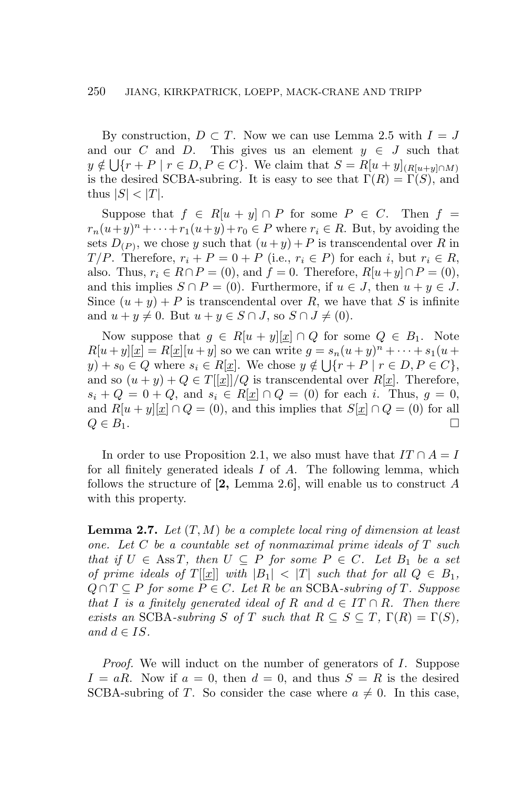By construction,  $D \subset T$ . Now we can use Lemma 2.5 with  $I = J$ and our *C* and *D*. This gives us an element  $y \in J$  such that  $y \notin \bigcup \{r + P \mid r \in D, P \in C\}$ . We claim that  $S = R[u + y]_{(R[u + y] \cap M)}$ is the desired SCBA-subring. It is easy to see that  $\Gamma(R) = \Gamma(S)$ , and thus  $|S| < |T|$ .

Suppose that  $f \in R[u + y] \cap P$  for some  $P \in C$ . Then  $f =$  $r_n(u+y)^n + \cdots + r_1(u+y) + r_0 \in P$  where  $r_i \in R$ . But, by avoiding the sets  $D_{(P)}$ , we chose *y* such that  $(u + y) + P$  is transcendental over *R* in *T*/*P*. Therefore,  $r_i + P = 0 + P$  (i.e.,  $r_i \in P$ ) for each *i*, but  $r_i \in R$ , also. Thus,  $r_i \in R \cap P = (0)$ , and  $f = 0$ . Therefore,  $R[u + y] \cap P = (0)$ , and this implies  $S \cap P = (0)$ . Furthermore, if  $u \in J$ , then  $u + y \in J$ . Since  $(u + y) + P$  is transcendental over R, we have that S is infinite and  $u + y \neq 0$ . But  $u + y \in S \cap J$ , so  $S \cap J \neq (0)$ .

Now suppose that  $g \in R[u + y][x] \cap Q$  for some  $Q \in B_1$ . Note  $R[u + y][x] = R[x][u + y]$  so we can write  $g = s_n(u + y)^n + \cdots + s_1(u + y)$ *y*) + *s*<sub>0</sub> ∈ *Q* where *s*<sub>*i*</sub> ∈ *R*[*x*]. We chose  $y \notin \bigcup \{r + P \mid r \in D, P \in C\}$ , and so  $(u + y) + Q \in T[[x]]/Q$  is transcendental over  $R[x]$ . Therefore,  $s_i + Q = 0 + Q$ , and  $s_i \in R[x] \cap Q = (0)$  for each *i*. Thus,  $g = 0$ , and  $R[u + y][\underline{x}] \cap Q = (0)$ , and this implies that  $S[\underline{x}] \cap Q = (0)$  for all  $Q \in B_1$ .

In order to use Proposition 2.1, we also must have that  $IT \cap A = I$ for all finitely generated ideals *I* of *A*. The following lemma, which follows the structure of **[2,** Lemma 2.6**]**, will enable us to construct *A* with this property.

**Lemma 2.7.** *Let* (*T, M*) *be a complete local ring of dimension at least one. Let C be a countable set of nonmaximal prime ideals of T such that if*  $U \in \text{Ass } T$ *, then*  $U \subseteq P$  *for some*  $P \in C$ *. Let*  $B_1$  *be a set of prime ideals of*  $T[[x]]$  *with*  $|B_1| < |T|$  *such that for all*  $Q \in B_1$ *,*  $Q \cap T \subseteq P$  *for some*  $P \in C$ *. Let*  $R$  *be an* SCBA-subring of  $T$ *. Suppose that I is a finitely generated ideal of R* and  $d \in IT \cap R$ *. Then there exists an* SCBA-subring *S* of *T* such that  $R \subseteq S \subseteq T$ ,  $\Gamma(R) = \Gamma(S)$ ,  $and$   $d \in IS$ .

*Proof.* We will induct on the number of generators of *I*. Suppose  $I = aR$ . Now if  $a = 0$ , then  $d = 0$ , and thus  $S = R$  is the desired SCBA-subring of *T*. So consider the case where  $a \neq 0$ . In this case,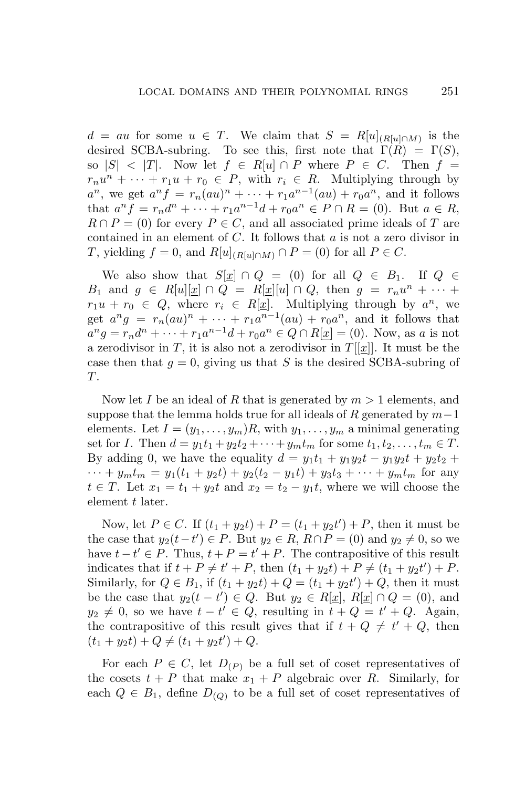$d = au$  for some  $u \in T$ . We claim that  $S = R[u]_{(R[u]\cap M)}$  is the desired SCBA-subring. To see this, first note that  $\Gamma(R) = \Gamma(S)$ , so  $|S| < |T|$ . Now let  $f \in R[u] \cap P$  where  $P \in C$ . Then  $f =$  $r_n u^n + \cdots + r_1 u + r_0 \in P$ , with  $r_i \in R$ . Multiplying through by  $a^n$ , we get  $a^n f = r_n (au)^n + \cdots + r_1 a^{n-1} (au) + r_0 a^n$ , and it follows that  $a^n f = r_n d^n + \dots + r_1 a^{n-1} d + r_0 a^n \in P \cap R = (0)$ . But  $a \in R$ ,  $R \cap P = (0)$  for every  $P \in C$ , and all associated prime ideals of *T* are contained in an element of *C*. It follows that *a* is not a zero divisor in *T*, yielding  $f = 0$ , and  $R[u]_{(R[u]\cap M)} \cap P = (0)$  for all  $P \in C$ .

We also show that  $S[x] \cap Q = (0)$  for all  $Q \in B_1$ . If  $Q \in$ *B*<sub>1</sub> and  $g \in R[u][x] \cap Q = R[x][u] \cap Q$ , then  $g = r_n u^n + \cdots$  $r_1u + r_0 \in Q$ , where  $r_i \in R[\underline{x}]$ . Multiplying through by  $a^n$ , we get  $a^n g = r_n (au)^n + \cdots + r_1 a^{n-1} (au) + r_0 a^n$ , and it follows that  $a^n g = r_n d^n + \dots + r_1 a^{n-1} d + r_0 a^n \in Q \cap R[\underline{x}] = (0)$ . Now, as a is not a zerodivisor in *T*, it is also not a zerodivisor in  $T[[x]]$ . It must be the case then that  $g = 0$ , giving us that *S* is the desired SCBA-subring of *T*.

Now let *I* be an ideal of *R* that is generated by *m >* 1 elements, and suppose that the lemma holds true for all ideals of *R* generated by *m−*1 elements. Let  $I = (y_1, \ldots, y_m)R$ , with  $y_1, \ldots, y_m$  a minimal generating set for *I*. Then  $d = y_1 t_1 + y_2 t_2 + \cdots + y_m t_m$  for some  $t_1, t_2, \ldots, t_m \in T$ . By adding 0, we have the equality  $d = y_1t_1 + y_1y_2t - y_1y_2t + y_2t_2 +$  $\cdots$  +  $y_m t_m = y_1(t_1 + y_2 t) + y_2(t_2 - y_1 t) + y_3 t_3 + \cdots + y_m t_m$  for any  $t \in T$ . Let  $x_1 = t_1 + y_2t$  and  $x_2 = t_2 - y_1t$ , where we will choose the element *t* later.

Now, let  $P \in C$ . If  $(t_1 + y_2t) + P = (t_1 + y_2t') + P$ , then it must be the case that  $y_2(t-t') \in P$ . But  $y_2 \in R$ ,  $R \cap P = (0)$  and  $y_2 \neq 0$ , so we have  $t - t' \in P$ . Thus,  $t + P = t' + P$ . The contrapositive of this result indicates that if  $t + P \neq t' + P$ , then  $(t_1 + y_2t) + P \neq (t_1 + y_2t') + P$ . Similarly, for  $Q \in B_1$ , if  $(t_1 + y_2t) + Q = (t_1 + y_2t') + Q$ , then it must be the case that  $y_2(t-t') \in Q$ . But  $y_2 \in R[\underline{x}]$ ,  $R[\underline{x}] \cap Q = (0)$ , and  $y_2 \neq 0$ , so we have  $t - t' \in Q$ , resulting in  $t + Q = t' + Q$ . Again, the contrapositive of this result gives that if  $t + Q \neq t' + Q$ , then  $(t_1 + y_2t) + Q \neq (t_1 + y_2t') + Q.$ 

For each  $P \in C$ , let  $D_{(P)}$  be a full set of coset representatives of the cosets  $t + P$  that make  $x_1 + P$  algebraic over *R*. Similarly, for each  $Q \in B_1$ , define  $D_{(Q)}$  to be a full set of coset representatives of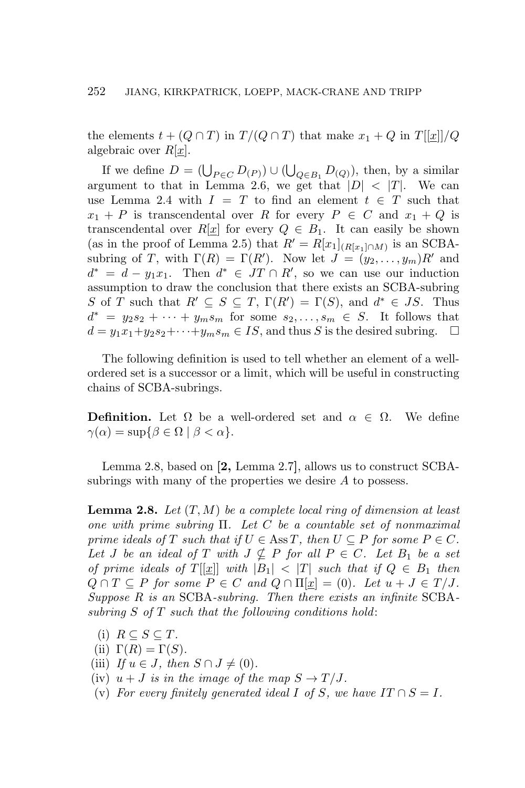the elements  $t + (Q \cap T)$  in  $T/(Q \cap T)$  that make  $x_1 + Q$  in  $T[[x]]/Q$ algebraic over *R*[*x*].

If we define  $D = (\bigcup_{P \in C} D_{(P)}) \cup (\bigcup_{Q \in B_1} D_{(Q)})$ , then, by a similar argument to that in Lemma 2.6, we get that  $|D| < |T|$ . We can use Lemma 2.4 with  $I = T$  to find an element  $t \in T$  such that  $x_1 + P$  is transcendental over *R* for every  $P \in C$  and  $x_1 + Q$  is transcendental over  $R[\underline{x}]$  for every  $Q \in B_1$ . It can easily be shown (as in the proof of Lemma 2.5) that  $R' = R[x_1]_{(R[x_1] \cap M)}$  is an SCBAsubring of *T*, with  $\Gamma(R) = \Gamma(R')$ . Now let  $J = (y_2, \ldots, y_m)R'$  and  $d^* = d - y_1 x_1$ . Then  $d^* \in JT \cap R'$ , so we can use our induction assumption to draw the conclusion that there exists an SCBA-subring *S* of *T* such that  $R' \subseteq S \subseteq T$ ,  $\Gamma(R') = \Gamma(S)$ , and  $d^* \in JS$ . Thus  $d^* = y_2 s_2 + \cdots + y_m s_m$  for some  $s_2, \ldots, s_m \in S$ . It follows that  $d = y_1x_1+y_2s_2+\cdots+y_ms_m \in IS$ , and thus *S* is the desired subring.  $\Box$ 

The following definition is used to tell whether an element of a wellordered set is a successor or a limit, which will be useful in constructing chains of SCBA-subrings.

**Definition.** Let  $\Omega$  be a well-ordered set and  $\alpha \in \Omega$ . We define  $\gamma(\alpha) = \sup\{\beta \in \Omega \mid \beta < \alpha\}.$ 

Lemma 2.8, based on **[2,** Lemma 2.7**]**, allows us to construct SCBAsubrings with many of the properties we desire *A* to possess.

**Lemma 2.8.** *Let* (*T, M*) *be a complete local ring of dimension at least one with prime subring* Π*. Let C be a countable set of nonmaximal prime ideals of*  $T$  *such that if*  $U \in \text{Ass } T$ *, then*  $U \subseteq P$  *for some*  $P \in C$ *. Let J be an ideal of T with*  $J \nsubseteq P$  *for all*  $P \in C$ *. Let*  $B_1$  *be a set of prime ideals of*  $T[[x]]$  *with*  $|B_1| < |T|$  *such that if*  $Q \in B_1$  *then*  $Q \cap T \subseteq P$  *for some*  $P \in C$  *and*  $Q \cap \Pi[x] = (0)$ *. Let*  $u + J \in T/J$ *. Suppose R is an* SCBA*-subring. Then there exists an infinite* SCBA*subring S of T such that the following conditions hold*:

- $(i)$   $R \subseteq S \subseteq T$ .
- (ii)  $\Gamma(R) = \Gamma(S)$ *.*
- (iii) If  $u \in J$ , then  $S \cap J \neq (0)$ .
- (iv)  $u + J$  *is in the image of the map*  $S \to T/J$ .
- (v) For every finitely generated ideal  $I$  of  $S$ , we have  $IT \cap S = I$ .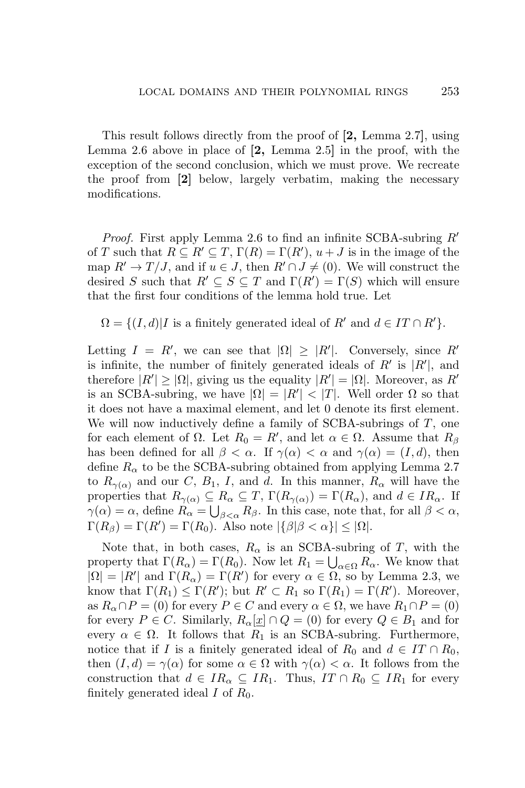This result follows directly from the proof of **[2,** Lemma 2.7**]**, using Lemma 2.6 above in place of **[2,** Lemma 2.5**]** in the proof, with the exception of the second conclusion, which we must prove. We recreate the proof from **[2]** below, largely verbatim, making the necessary modifications.

*Proof.* First apply Lemma 2.6 to find an infinite SCBA-subring *R′* of *T* such that  $R \subseteq R' \subseteq T$ ,  $\Gamma(R) = \Gamma(R')$ ,  $u + J$  is in the image of the map  $R' \to T/J$ , and if  $u \in J$ , then  $R' \cap J \neq (0)$ . We will construct the desired *S* such that  $R' \subseteq S \subseteq T$  and  $\Gamma(R') = \Gamma(S)$  which will ensure that the first four conditions of the lemma hold true. Let

 $\Omega = \{ (I, d) | I$  is a finitely generated ideal of  $R'$  and  $d \in IT \cap R' \}$ .

Letting  $I = R'$ , we can see that  $|\Omega| \geq |R'|$ . Conversely, since  $R'$ is infinite, the number of finitely generated ideals of *R′* is *|R′ |*, and therefore  $|R'| \geq |\Omega|$ , giving us the equality  $|R'| = |\Omega|$ . Moreover, as *R'* is an SCBA-subring, we have  $|\Omega| = |R'| < |T|$ . Well order  $\Omega$  so that it does not have a maximal element, and let 0 denote its first element. We will now inductively define a family of SCBA-subrings of *T*, one for each element of  $\Omega$ . Let  $R_0 = R'$ , and let  $\alpha \in \Omega$ . Assume that  $R_\beta$ has been defined for all  $\beta < \alpha$ . If  $\gamma(\alpha) < \alpha$  and  $\gamma(\alpha) = (I, d)$ , then define  $R_\alpha$  to be the SCBA-subring obtained from applying Lemma 2.7 to  $R_{\gamma(\alpha)}$  and our *C*,  $B_1$ , *I*, and *d*. In this manner,  $R_\alpha$  will have the properties that  $R_{\gamma(\alpha)} \subseteq R_{\alpha} \subseteq T$ ,  $\Gamma(R_{\gamma(\alpha)}) = \Gamma(R_{\alpha})$ , and  $d \in IR_{\alpha}$ . If  $\gamma(\alpha) = \alpha$ , define  $R_{\alpha} = \bigcup_{\beta < \alpha} R_{\beta}$ . In this case, note that, for all  $\beta < \alpha$ ,  $\Gamma(R_{\beta}) = \Gamma(R') = \Gamma(R_0)$ . Also note  $|\{\beta | \beta < \alpha\}| \leq |\Omega|$ .

Note that, in both cases,  $R_\alpha$  is an SCBA-subring of *T*, with the property that  $\Gamma(R_\alpha) = \Gamma(R_0)$ . Now let  $R_1 = \bigcup_{\alpha \in \Omega} R_\alpha$ . We know that  $|\Omega| = |R'|$  and  $\Gamma(R_{\alpha}) = \Gamma(R')$  for every  $\alpha \in \Omega$ , so by Lemma 2.3, we know that  $\Gamma(R_1) \leq \Gamma(R')$ ; but  $R' \subset R_1$  so  $\Gamma(R_1) = \Gamma(R')$ . Moreover, as  $R_\alpha \cap P = (0)$  for every  $P \in C$  and every  $\alpha \in \Omega$ , we have  $R_1 \cap P = (0)$ for every  $P \in C$ . Similarly,  $R_{\alpha}[\underline{x}] \cap Q = (0)$  for every  $Q \in B_1$  and for every  $\alpha \in \Omega$ . It follows that  $R_1$  is an SCBA-subring. Furthermore, notice that if *I* is a finitely generated ideal of  $R_0$  and  $d \in IT \cap R_0$ , then  $(I, d) = \gamma(\alpha)$  for some  $\alpha \in \Omega$  with  $\gamma(\alpha) < \alpha$ . It follows from the construction that  $d \in IR_\alpha \subseteq IR_1$ . Thus,  $IT \cap R_0 \subseteq IR_1$  for every finitely generated ideal  $I$  of  $R_0$ .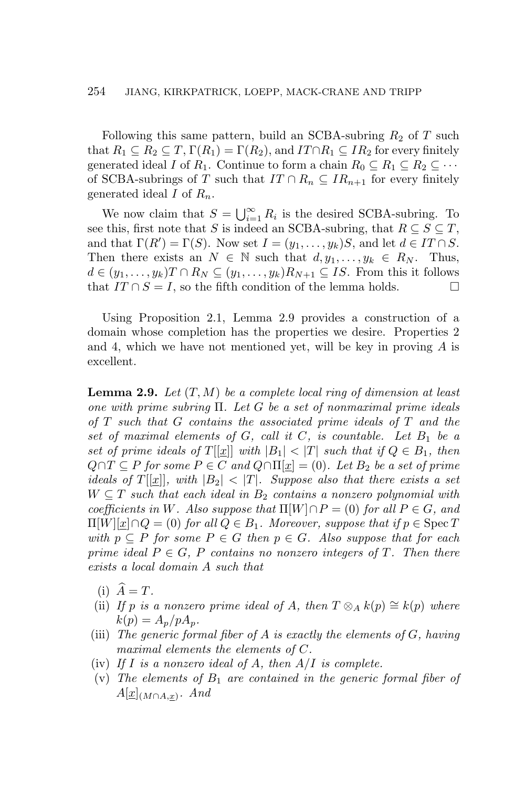Following this same pattern, build an SCBA-subring  $R_2$  of T such that  $R_1 \subseteq R_2 \subseteq T$ ,  $\Gamma(R_1) = \Gamma(R_2)$ , and  $IT \cap R_1 \subseteq IR_2$  for every finitely generated ideal *I* of  $R_1$ . Continue to form a chain  $R_0 \subseteq R_1 \subseteq R_2 \subseteq \cdots$ of SCBA-subrings of *T* such that  $IT \cap R_n \subseteq IR_{n+1}$  for every finitely generated ideal *I* of *Rn*.

We now claim that  $S = \bigcup_{i=1}^{\infty} R_i$  is the desired SCBA-subring. To see this, first note that *S* is indeed an SCBA-subring, that  $R \subseteq S \subseteq T$ , and that  $\Gamma(R') = \Gamma(S)$ . Now set  $I = (y_1, \ldots, y_k)S$ , and let  $d \in IT \cap S$ . Then there exists an  $N \in \mathbb{N}$  such that  $d, y_1, \ldots, y_k \in R_N$ . Thus,  $d \in (y_1, \ldots, y_k)$ *T*  $\cap R_N \subseteq (y_1, \ldots, y_k)R_{N+1} \subseteq IS$ . From this it follows that  $IT \cap S = I$ , so the fifth condition of the lemma holds.  $\Box$ 

Using Proposition 2.1, Lemma 2.9 provides a construction of a domain whose completion has the properties we desire. Properties 2 and 4, which we have not mentioned yet, will be key in proving *A* is excellent.

**Lemma 2.9.** *Let* (*T, M*) *be a complete local ring of dimension at least one with prime subring* Π*. Let G be a set of nonmaximal prime ideals of T such that G contains the associated prime ideals of T and the* set of maximal elements of  $G$ *, call it*  $C$ *, is countable. Let*  $B_1$  *be a set of prime ideals of*  $T[[x]]$  *with*  $|B_1| < |T|$  *such that if*  $Q \in B_1$ *, then*  $Q \cap T \subseteq P$  *for some*  $P \in C$  *and*  $Q \cap \Pi[x] = (0)$ *. Let*  $B_2$  *be a set of prime ideals of*  $T[[x]]$ *, with*  $|B_2| < |T|$ *. Suppose also that there exists a set*  $W \subseteq T$  *such that each ideal in*  $B_2$  *contains a nonzero polynomial with coefficients in W. Also suppose that*  $\Pi[W] \cap P = (0)$  *for all*  $P \in G$ *, and*  $\Pi[W][x] \cap Q = (0)$  *for all*  $Q \in B_1$ *. Moreover, suppose that if*  $p \in \text{Spec } T$  $with \ p \subseteq P \ for \ some \ P \in G \ then \ p \in G \$ . Also suppose that for each *prime ideal*  $P \in G$ ,  $P$  *contains no nonzero integers of*  $T$ *. Then there exists a local domain A such that*

- $(i)$   $\widehat{A} = T$ .
- (ii) *If p is a nonzero prime ideal of A, then*  $T \otimes_A k(p) \cong k(p)$  *where*  $k(p) = A_p / pA_p$ .
- (iii) *The generic formal fiber of A is exactly the elements of G, having maximal elements the elements of C.*
- (iv) *If I is a nonzero ideal of A, then A/I is complete.*
- (v) *The elements of B*<sup>1</sup> *are contained in the generic formal fiber of*  $A[\underline{x}]_{(M \cap A, \underline{x})}$ . And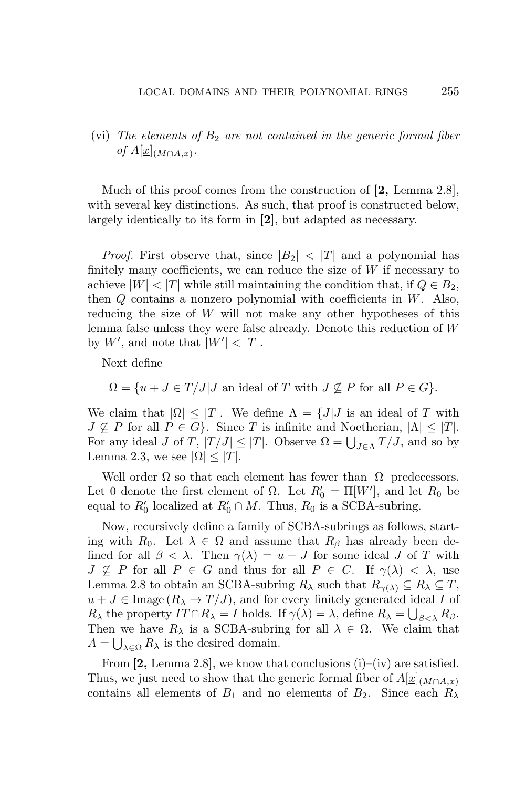(vi) *The elements of B*<sup>2</sup> *are not contained in the generic formal fiber*  $of A[\underline{x}]_{(M \cap A, \underline{x})}$ .

Much of this proof comes from the construction of **[2,** Lemma 2.8**]**, with several key distinctions. As such, that proof is constructed below, largely identically to its form in **[2]**, but adapted as necessary.

*Proof.* First observe that, since  $|B_2| < |T|$  and a polynomial has finitely many coefficients, we can reduce the size of *W* if necessary to achieve  $|W| < |T|$  while still maintaining the condition that, if  $Q \in B_2$ , then *Q* contains a nonzero polynomial with coefficients in *W*. Also, reducing the size of *W* will not make any other hypotheses of this lemma false unless they were false already. Denote this reduction of *W* by  $W'$ , and note that  $|W'| < |T|$ .

Next define

$$
\Omega = \{ u + J \in T / J | J \text{ an ideal of } T \text{ with } J \nsubseteq P \text{ for all } P \in G \}.
$$

We claim that  $|\Omega| \leq |T|$ . We define  $\Lambda = \{J | J$  is an ideal of *T* with  $J \not\subseteq P$  for all  $P \in G$ }. Since *T* is infinite and Noetherian,  $|\Lambda| \leq |T|$ . For any ideal *J* of *T*,  $|T/J| \le |T|$ . Observe  $\Omega = \bigcup_{J \in \Lambda} T/J$ , and so by Lemma 2.3, we see  $|\Omega| < |T|$ .

Well order  $\Omega$  so that each element has fewer than  $|\Omega|$  predecessors. Let 0 denote the first element of  $\Omega$ . Let  $R'_0 = \Pi[W']$ , and let  $R_0$  be equal to  $R'_0$  localized at  $R'_0 \cap M$ . Thus,  $R_0$  is a SCBA-subring.

Now, recursively define a family of SCBA-subrings as follows, starting with  $R_0$ . Let  $\lambda \in \Omega$  and assume that  $R_\beta$  has already been defined for all  $\beta < \lambda$ . Then  $\gamma(\lambda) = u + J$  for some ideal *J* of *T* with  $J \nsubseteq P$  for all  $P \in G$  and thus for all  $P \in C$ . If  $\gamma(\lambda) < \lambda$ , use Lemma 2.8 to obtain an SCBA-subring  $R_{\lambda}$  such that  $R_{\gamma(\lambda)} \subseteq R_{\lambda} \subseteq T$ ,  $u + J \in \text{Image } (R_\lambda \to T/J)$ , and for every finitely generated ideal *I* of *R*<sub> $\lambda$ </sub> the property *IT*  $\cap$  *R*<sub> $\lambda$ </sub> = *I* holds. If  $\gamma(\lambda) = \lambda$ , define  $R_{\lambda} = \bigcup_{\beta < \lambda} R_{\beta}$ . Then we have  $R_{\lambda}$  is a SCBA-subring for all  $\lambda \in \Omega$ . We claim that  $A = \bigcup_{\lambda \in \Omega} R_{\lambda}$  is the desired domain.

From **[2,** Lemma 2.8**]**, we know that conclusions (i)–(iv) are satisfied. Thus, we just need to show that the generic formal fiber of  $A[x]_{(M \cap A,x)}$ contains all elements of  $B_1$  and no elements of  $B_2$ . Since each  $R_\lambda$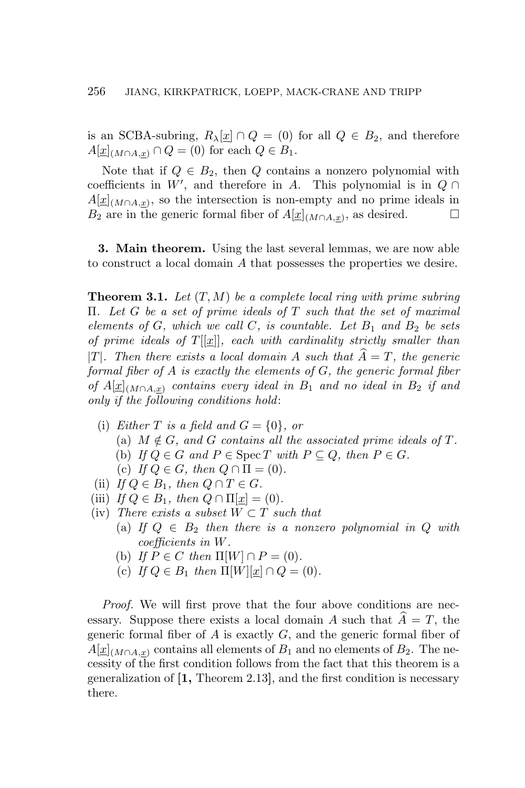is an SCBA-subring,  $R_{\lambda}[\underline{x}] \cap Q = (0)$  for all  $Q \in B_2$ , and therefore  $A[\underline{x}]_{(M \cap A, x)} \cap Q = (0)$  for each  $Q \in B_1$ .

Note that if  $Q \in B_2$ , then  $Q$  contains a nonzero polynomial with coefficients in  $W'$ , and therefore in *A*. This polynomial is in  $Q \cap$  $A[\underline{x}]_{(M \cap A, \underline{x})}$ , so the intersection is non-empty and no prime ideals in *B*<sub>2</sub> are in the generic formal fiber of  $A[\underline{x}]_{(M ∩ A, \underline{x})}$ , as desired.  $□$ 

**3. Main theorem.** Using the last several lemmas, we are now able to construct a local domain *A* that possesses the properties we desire.

**Theorem 3.1.** *Let* (*T, M*) *be a complete local ring with prime subring* Π*. Let G be a set of prime ideals of T such that the set of maximal elements of*  $G$ *, which we call*  $C$ *, is countable. Let*  $B_1$  *and*  $B_2$  *be sets of prime ideals of*  $T[[x]]$ *, each with cardinality strictly smaller than*  $|T|$ *. Then there exists a local domain A such that*  $\overline{A} = T$ *, the generic formal fiber of A is exactly the elements of G, the generic formal fiber*  $\partial f A[x]_{(M \cap A,x)}$  *contains every ideal in*  $B_1$  *and no ideal in*  $B_2$  *if and only if the following conditions hold*:

- (i) *Either*  $T$  *is a field and*  $G = \{0\}$ *, or* (a)  $M \notin G$ , and  $G$  contains all the associated prime ideals of  $T$ . (b) *If*  $Q \in G$  *and*  $P \in \text{Spec } T$  *with*  $P \subseteq Q$ *, then*  $P \in G$ *.* (c) *If*  $Q \in G$ *, then*  $Q \cap \Pi = (0)$ *.*
- (ii) *If*  $Q \in B_1$ *, then*  $Q \cap T \in G$ *.*
- (iii) *If*  $Q \in B_1$ *, then*  $Q \cap \Pi[\underline{x}] = (0)$ *.*
- (iv) *There exists a subset*  $W \subset T$  *such that* 
	- (a) If  $Q \in B_2$  then there is a nonzero polynomial in  $Q$  with *coefficients in W.*
	- (b) If  $P \in C$  then  $\Pi[W] \cap P = (0)$ .
	- (c) *If*  $Q \in B_1$  *then*  $\Pi[W][x] \cap Q = (0)$ *.*

*Proof.* We will first prove that the four above conditions are necessary. Suppose there exists a local domain *A* such that  $\hat{A} = T$ , the generic formal fiber of *A* is exactly *G*, and the generic formal fiber of  $A[\underline{x}]_{(M \cap A,x)}$  contains all elements of  $B_1$  and no elements of  $B_2$ . The necessity of the first condition follows from the fact that this theorem is a generalization of **[1,** Theorem 2.13**]**, and the first condition is necessary there.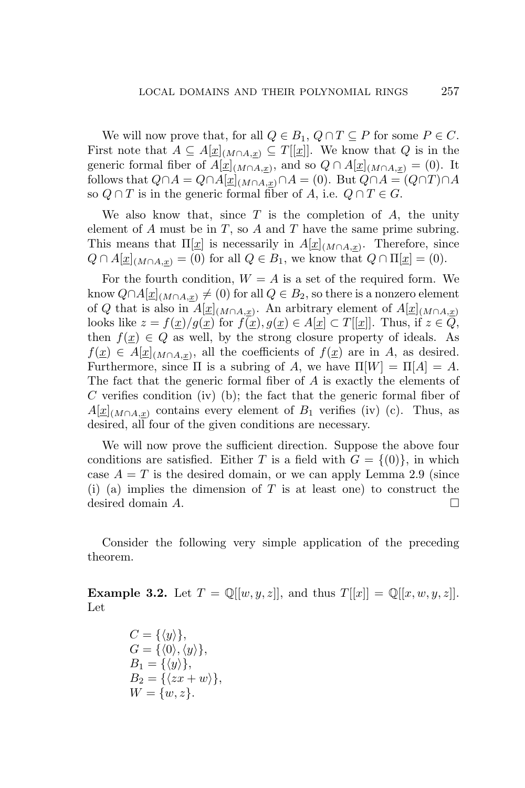We will now prove that, for all  $Q \in B_1$ ,  $Q \cap T \subseteq P$  for some  $P \in C$ . First note that  $A \subseteq A[\underline{x}]_{(M \cap A,x)} \subseteq T[[\underline{x}]]$ . We know that *Q* is in the generic formal fiber of  $A[\underline{x}]_{(M \cap A, \underline{x})}$ , and so  $Q \cap A[\underline{x}]_{(M \cap A, \underline{x})} = (0)$ . It follows that  $Q \cap A = Q \cap A[\underline{x}]_{(M \cap A,x)} \cap A = (0)$ . But  $Q \cap A = (Q \cap T) \cap A$ so  $Q \cap T$  is in the generic formal fiber of  $A$ , i.e.  $Q \cap T \in G$ .

We also know that, since *T* is the completion of *A*, the unity element of *A* must be in *T*, so *A* and *T* have the same prime subring. This means that  $\Pi[\underline{x}]$  is necessarily in  $A[\underline{x}]_{(M \cap A, \underline{x})}$ . Therefore, since  $Q \cap A[\underline{x}]_{(M \cap A, \underline{x})} = (0)$  for all  $Q \in B_1$ , we know that  $Q \cap \Pi[\underline{x}] = (0)$ .

For the fourth condition,  $W = A$  is a set of the required form. We know  $Q \cap A[\underline{x}]_{(M \cap A,\underline{x})}$  ≠ (0) for all  $Q \in B_2$ , so there is a nonzero element of *Q* that is also in  $A[\underline{x}]_{(M \cap A, \underline{x})}$ . An arbitrary element of  $A[\underline{x}]_{(M \cap A, \underline{x})}$ looks like  $z = f(x)/g(x)$  for  $\overline{f(x)}$ ,  $g(x) \in A[x] \subset T[[x]]$ . Thus, if  $z \in \overline{Q}$ , then  $f(x) \in Q$  as well, by the strong closure property of ideals. As  $f(x) \in A[x]_{(M \cap A,x)}$ , all the coefficients of  $f(x)$  are in *A*, as desired. Furthermore, since  $\Pi$  is a subring of A, we have  $\Pi[W] = \Pi[A] = A$ . The fact that the generic formal fiber of *A* is exactly the elements of *C* verifies condition (iv) (b); the fact that the generic formal fiber of  $A[x]_{(M \cap A,x)}$  contains every element of  $B_1$  verifies (iv) (c). Thus, as desired, all four of the given conditions are necessary.

We will now prove the sufficient direction. Suppose the above four conditions are satisfied. Either *T* is a field with  $G = \{(0)\}\$ , in which case  $A = T$  is the desired domain, or we can apply Lemma 2.9 (since (i) (a) implies the dimension of *T* is at least one) to construct the desired domain *A*.

Consider the following very simple application of the preceding theorem.

**Example 3.2.** Let  $T = \mathbb{Q}[[w, y, z]]$ , and thus  $T[[x]] = \mathbb{Q}[[x, w, y, z]]$ . Let

$$
C = \{ \langle y \rangle \},
$$
  
\n
$$
G = \{ \langle 0 \rangle, \langle y \rangle \},
$$
  
\n
$$
B_1 = \{ \langle y \rangle \},
$$
  
\n
$$
B_2 = \{ \langle zx + w \rangle \},
$$
  
\n
$$
W = \{ w, z \}.
$$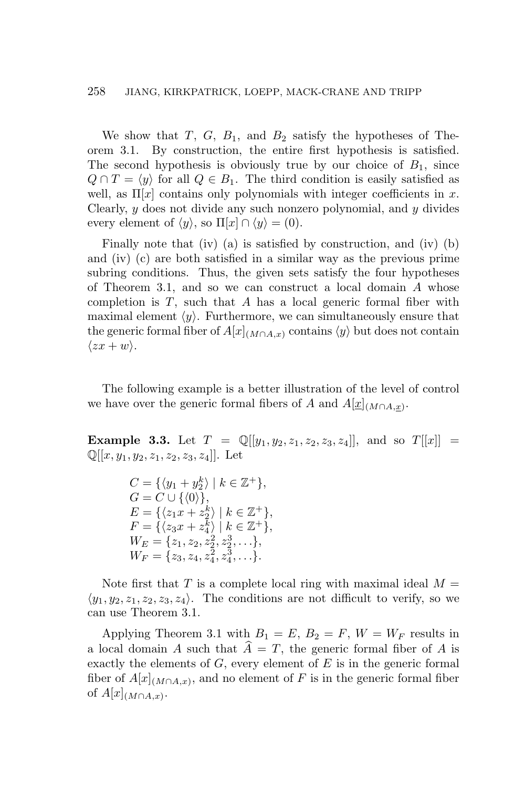# 258 JIANG, KIRKPATRICK, LOEPP, MACK-CRANE AND TRIPP

We show that *T*, *G*, *B*1, and *B*<sup>2</sup> satisfy the hypotheses of Theorem 3.1. By construction, the entire first hypothesis is satisfied. The second hypothesis is obviously true by our choice of  $B_1$ , since  $Q \cap T = \langle y \rangle$  for all  $Q \in B_1$ . The third condition is easily satisfied as well, as  $\Pi[x]$  contains only polynomials with integer coefficients in x. Clearly, *y* does not divide any such nonzero polynomial, and *y* divides every element of  $\langle y \rangle$ , so  $\Pi[x] \cap \langle y \rangle = (0)$ .

Finally note that (iv) (a) is satisfied by construction, and (iv) (b) and (iv) (c) are both satisfied in a similar way as the previous prime subring conditions. Thus, the given sets satisfy the four hypotheses of Theorem 3.1, and so we can construct a local domain *A* whose completion is *T*, such that *A* has a local generic formal fiber with maximal element  $\langle y \rangle$ . Furthermore, we can simultaneously ensure that the generic formal fiber of  $A[x]$ <sub>(*M*∩*A,x*)</sub> contains  $\langle y \rangle$  but does not contain  $\langle zx + w \rangle$ .

The following example is a better illustration of the level of control we have over the generic formal fibers of *A* and  $A[\underline{x}]_{(M \cap A, \underline{x})}$ .

**Example 3.3.** Let  $T = \mathbb{Q}[[y_1, y_2, z_1, z_2, z_3, z_4]]$ , and so  $T[[x]] =$  $\mathbb{Q}[[x, y_1, y_2, z_1, z_2, z_3, z_4]]$ . Let

> $C = \{ \langle y_1 + y_2^k \rangle \mid k \in \mathbb{Z}^+ \},\$  $G = C \cup \{ \langle 0 \rangle \},\$  $E = \{ \langle z_1 x + z_2^k \rangle \mid k \in \mathbb{Z}^+ \},\$  $F = \{ \langle z_3 x + z_4^k \rangle \mid k \in \mathbb{Z}^+ \},\$  $W_E = \{z_1, z_2, z_2^2, z_2^3, \ldots\},\,$  $W_F = \{z_3, z_4, z_4^2, z_4^3, \ldots\}.$

Note first that *T* is a complete local ring with maximal ideal  $M =$  $\langle y_1, y_2, z_1, z_2, z_3, z_4 \rangle$ . The conditions are not difficult to verify, so we can use Theorem 3.1.

Applying Theorem 3.1 with  $B_1 = E$ ,  $B_2 = F$ ,  $W = W_F$  results in a local domain *A* such that  $A = T$ , the generic formal fiber of *A* is exactly the elements of *G*, every element of *E* is in the generic formal fiber of  $A[x]_{(M \cap A,x)}$ , and no element of *F* is in the generic formal fiber of  $A[x]$ <sub>(*M*∩*A*,*x*)</sub>.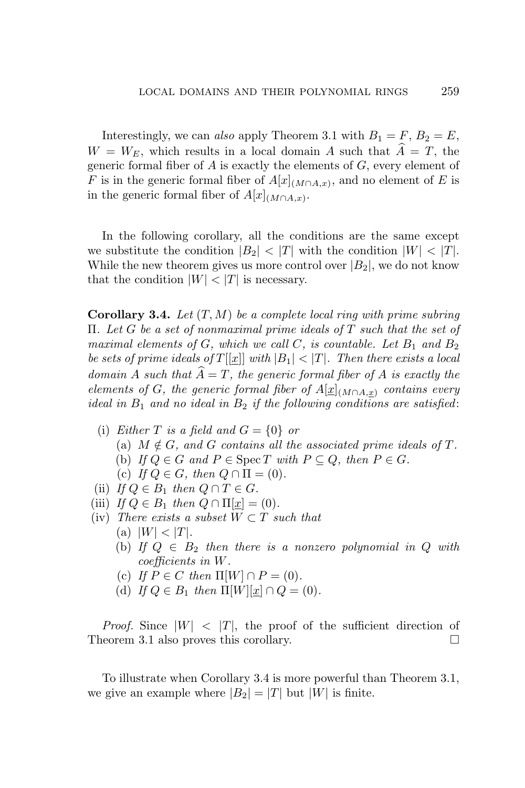Interestingly, we can *also* apply Theorem 3.1 with  $B_1 = F$ ,  $B_2 = E$ ,  $W = W_E$ , which results in a local domain *A* such that  $A = T$ , the generic formal fiber of *A* is exactly the elements of *G*, every element of *F* is in the generic formal fiber of  $A[x]$ <sub>(*M*∩*A,x*)</sub>, and no element of *E* is in the generic formal fiber of  $A[x]$ <sub>(*M*∩*A*,*x*)</sub>.

In the following corollary, all the conditions are the same except we substitute the condition  $|B_2| < |T|$  with the condition  $|W| < |T|$ . While the new theorem gives us more control over  $|B_2|$ , we do not know that the condition  $|W| < |T|$  is necessary.

**Corollary 3.4.** *Let* (*T, M*) *be a complete local ring with prime subring* Π*. Let G be a set of nonmaximal prime ideals of T such that the set of maximal elements of*  $G$ *, which we call*  $C$ *, is countable. Let*  $B_1$  *and*  $B_2$ *be sets of prime ideals of*  $T[[x]]$  *with*  $|B_1| < |T|$ *. Then there exists a local domain A such that*  $\widehat{A} = T$ *, the generic formal fiber of A is exactly the elements of G, the generic formal fiber of*  $A[\underline{x}]_{(M \cap A,x)}$  *contains every ideal in B*<sup>1</sup> *and no ideal in B*<sup>2</sup> *if the following conditions are satisfied*:

- (i) *Either*  $T$  *is a field and*  $G = \{0\}$  *or* (a)  $M \notin G$ , and  $G$  contains all the associated prime ideals of  $T$ . (b) *If*  $Q \in G$  *and*  $P \in \text{Spec } T$  *with*  $P \subseteq Q$ *, then*  $P \in G$ *.* (c) If  $Q \in G$ , then  $Q \cap \Pi = (0)$ .
- (ii) *If*  $Q \in B_1$  *then*  $Q \cap T \in G$ *.*
- (iii) *If*  $Q \in B_1$  *then*  $Q \cap \Pi[\underline{x}] = (0)$ *.*
- (iv) *There exists a subset*  $W \subset T$  *such that* 
	- $(|W| < |T|$ .
	- (b) If  $Q \in B_2$  then there is a nonzero polynomial in  $Q$  with *coefficients in W.*
	- (c) *If*  $P \in C$  *then*  $\Pi[W] \cap P = (0)$ *.*
	- (d) *If*  $Q \in B_1$  *then*  $\Pi[W][x] \cap Q = (0)$ *.*

*Proof.* Since  $|W| < |T|$ , the proof of the sufficient direction of Theorem 3.1 also proves this corollary.

To illustrate when Corollary 3.4 is more powerful than Theorem 3.1, we give an example where  $|B_2| = |T|$  but  $|W|$  is finite.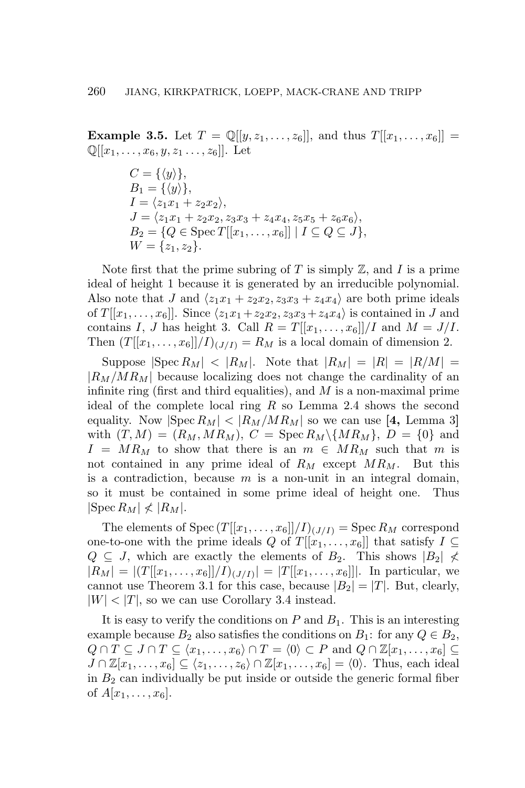**Example 3.5.** Let  $T = \mathbb{Q}[[y, z_1, \ldots, z_6]],$  and thus  $T[[x_1, \ldots, x_6]] =$  $\mathbb{Q}[[x_1,\ldots,x_6,y,z_1\ldots,z_6]]$ . Let

> $C = \{ \langle y \rangle \},\$  $B_1 = \{ \langle y \rangle \},\$  $I = \langle z_1 x_1 + z_2 x_2 \rangle$ ,  $J = \langle z_1x_1 + z_2x_2, z_3x_3 + z_4x_4, z_5x_5 + z_6x_6 \rangle$  $B_2 = \{Q \in \text{Spec } T[[x_1, \ldots, x_6]] \mid I \subseteq Q \subseteq J\},\$  $W = \{z_1, z_2\}.$

Note first that the prime subring of  $T$  is simply  $\mathbb{Z}$ , and  $I$  is a prime ideal of height 1 because it is generated by an irreducible polynomial. Also note that *J* and  $\langle z_1x_1 + z_2x_2, z_3x_3 + z_4x_4 \rangle$  are both prime ideals of  $T[[x_1, \ldots, x_6]]$ . Since  $\langle z_1x_1 + z_2x_2, z_3x_3 + z_4x_4 \rangle$  is contained in *J* and contains *I*, *J* has height 3. Call  $R = T[[x_1, \ldots, x_6]]/I$  and  $M = J/I$ . Then  $(T[[x_1,\ldots,x_6]]/I)_{(J/I)} = R_M$  is a local domain of dimension 2.

Suppose  $|\text{Spec } R_M| < |R_M|$ . Note that  $|R_M| = |R| = |R/M|$ *|RM/MRM|* because localizing does not change the cardinality of an infinite ring (first and third equalities), and *M* is a non-maximal prime ideal of the complete local ring *R* so Lemma 2.4 shows the second equality. Now  $|\text{Spec } R_M| < |R_M/MR_M|$  so we can use [4, Lemma 3] with  $(T, M) = (R_M, MR_M), C = \text{Spec } R_M \setminus \{MR_M\}, D = \{0\}$  and  $I = MR_M$  to show that there is an  $m \in MR_M$  such that *m* is not contained in any prime ideal of *R<sup>M</sup>* except *MRM*. But this is a contradiction, because *m* is a non-unit in an integral domain, so it must be contained in some prime ideal of height one. Thus  $|\text{Spec } R_M| \nless |R_M|$ .

The elements of  $Spec (T[[x_1, \ldots, x_6]]/I)_{(J/I)} = Spec R_M$  correspond one-to-one with the prime ideals *Q* of  $T[[x_1, \ldots, x_6]]$  that satisfy  $I \subseteq$  $Q \subseteq J$ , which are exactly the elements of  $B_2$ . This shows  $|B_2| \nless$  $|R_M| = |(T[[x_1, \ldots, x_6]]/I)_{(J/I)}| = |T[[x_1, \ldots, x_6]]|$ . In particular, we cannot use Theorem 3.1 for this case, because  $|B_2| = |T|$ . But, clearly,  $|W|$  <  $|T|$ , so we can use Corollary 3.4 instead.

It is easy to verify the conditions on  $P$  and  $B_1$ . This is an interesting example because  $B_2$  also satisfies the conditions on  $B_1$ : for any  $Q \in B_2$ ,  $Q \cap T \subseteq J \cap T \subseteq \langle x_1, \ldots, x_6 \rangle \cap T = \langle 0 \rangle \subset P$  and  $Q \cap \mathbb{Z}[x_1, \ldots, x_6] \subseteq$  $J \cap \mathbb{Z}[x_1,\ldots,x_6] \subseteq \langle z_1,\ldots,z_6 \rangle \cap \mathbb{Z}[x_1,\ldots,x_6] = \langle 0 \rangle$ . Thus, each ideal in  $B_2$  can individually be put inside or outside the generic formal fiber of  $A[x_1, \ldots, x_6]$ .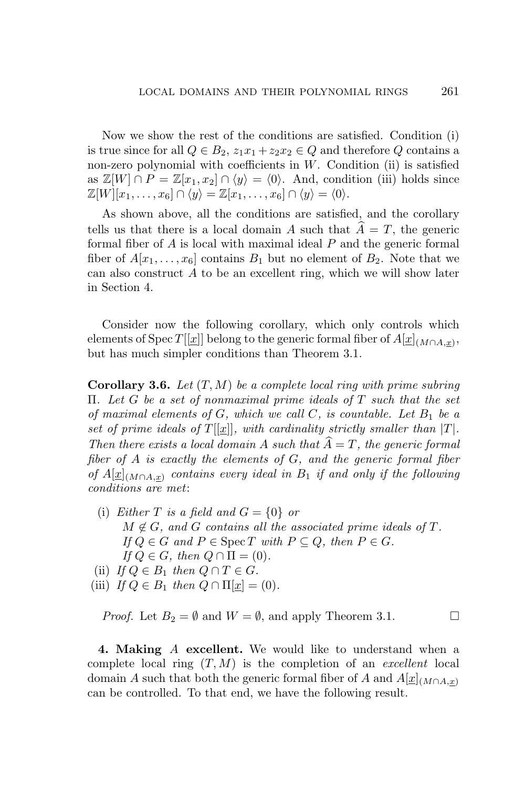Now we show the rest of the conditions are satisfied. Condition (i) is true since for all  $Q \in B_2$ ,  $z_1x_1 + z_2x_2 \in Q$  and therefore  $Q$  contains a non-zero polynomial with coefficients in *W*. Condition (ii) is satisfied as  $\mathbb{Z}[W] \cap P = \mathbb{Z}[x_1, x_2] \cap \langle y \rangle = \langle 0 \rangle$ . And, condition (iii) holds since  $\mathbb{Z}[W][x_1,\ldots,x_6]\cap \langle y\rangle = \mathbb{Z}[x_1,\ldots,x_6]\cap \langle y\rangle = \langle 0\rangle.$ 

As shown above, all the conditions are satisfied, and the corollary tells us that there is a local domain *A* such that  $A = T$ , the generic formal fiber of *A* is local with maximal ideal *P* and the generic formal fiber of  $A[x_1, \ldots, x_6]$  contains  $B_1$  but no element of  $B_2$ . Note that we can also construct *A* to be an excellent ring, which we will show later in Section 4.

Consider now the following corollary, which only controls which elements of Spec *T*[[*x*]] belong to the generic formal fiber of  $A[x]_{(M \cap A,x)}$ , but has much simpler conditions than Theorem 3.1.

**Corollary 3.6.** *Let* (*T, M*) *be a complete local ring with prime subring* Π*. Let G be a set of nonmaximal prime ideals of T such that the set of maximal elements of*  $G$ *, which we call*  $C$ *, is countable. Let*  $B_1$  *be a set of prime ideals of*  $T[[x]]$ *, with cardinality strictly smaller than*  $|T|$ *. Then there exists a local domain A such that*  $\widehat{A} = T$ *, the generic formal fiber of A is exactly the elements of G, and the generic formal fiber of*  $A[x]$ <sub>(*M*∩*A,x*) *contains every ideal in*  $B_1$  *if and only if the following*</sub> *conditions are met*:

- (i) *Either*  $T$  *is a field and*  $G = \{0\}$  *or*  $M \notin G$ , and  $G$  contains all the associated prime ideals of  $T$ .  $If Q \in G$  *and*  $P \in \text{Spec } T$  *with*  $P \subseteq Q$ *, then*  $P \in G$ *.*  $If Q \in G$ *, then*  $Q \cap \Pi = (0)$ *.*
- (ii) *If*  $Q \in B_1$  *then*  $Q \cap T \in G$ *.*
- (iii) *If*  $Q \in B_1$  *then*  $Q \cap \Pi | \underline{x} | = (0)$ *.*

*Proof.* Let  $B_2 = \emptyset$  and  $W = \emptyset$ , and apply Theorem 3.1.

**4. Making** *A* **excellent.** We would like to understand when a complete local ring (*T, M*) is the completion of an *excellent* local domain *A* such that both the generic formal fiber of *A* and  $A[\underline{x}]_{(M \cap A,x)}$ can be controlled. To that end, we have the following result.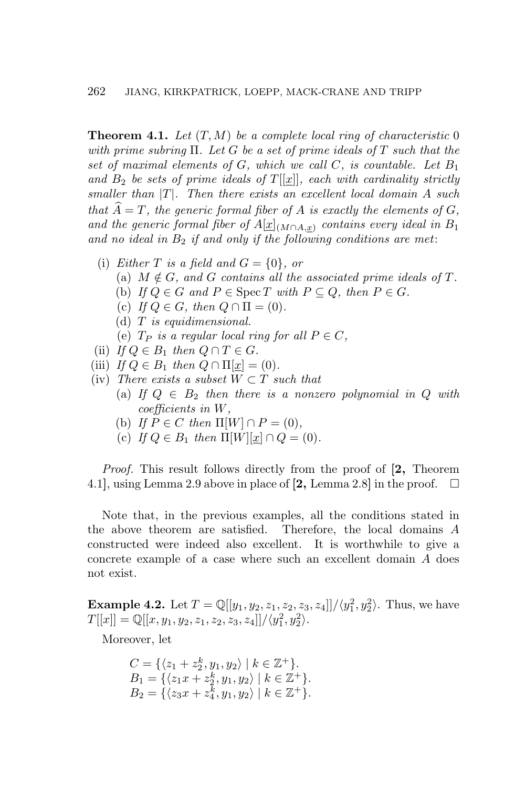**Theorem 4.1.** *Let* (*T, M*) *be a complete local ring of characteristic* 0 *with prime subring* Π*. Let G be a set of prime ideals of T such that the set of maximal elements of*  $G$ *, which we call*  $C$ *, is countable. Let*  $B_1$ and  $B_2$  be sets of prime ideals of  $T[[x]]$ , each with cardinality strictly *smaller than |T|. Then there exists an excellent local domain A such that*  $\widehat{A} = T$ *, the generic formal fiber of*  $A$  *is exactly the elements of*  $G$ *, and the generic formal fiber of*  $A[\underline{x}]_{(M \cap A, \underline{x})}$  *contains every ideal in*  $B_1$ *and no ideal in B*<sup>2</sup> *if and only if the following conditions are met*:

- (i) *Either T is a field and*  $G = \{0\}$ *, or* 
	- (a)  $M \notin G$ , and  $G$  contains all the associated prime ideals of  $T$ .
	- (b) If  $Q \in G$  and  $P \in \text{Spec } T$  with  $P \subseteq Q$ , then  $P \in G$ .
	- (c) If  $Q \in G$ , then  $Q \cap \Pi = (0)$ .
	- (d) *T is equidimensional.*
	- (e)  $T_P$  *is a regular local ring for all*  $P \in C$ *,*
- (ii) *If*  $Q \in B_1$  *then*  $Q \cap T \in G$ *.*
- (iii) *If*  $Q \in B_1$  *then*  $Q \cap \Pi[x] = (0)$ *.*
- (iv) *There exists a subset*  $W \subset T$  *such that* 
	- (a) If  $Q \in B_2$  then there is a nonzero polynomial in  $Q$  with *coefficients in W,*
	- (b) *If*  $P \in C$  *then*  $\Pi[W] \cap P = (0)$ *,*
	- (c) *If*  $Q \in B_1$  *then*  $\Pi[W][x] \cap Q = (0)$ *.*

*Proof.* This result follows directly from the proof of **[2,** Theorem 4.1, using Lemma 2.9 above in place of  $[2, \text{Lemma 2.8}]$  in the proof.  $\Box$ 

Note that, in the previous examples, all the conditions stated in the above theorem are satisfied. Therefore, the local domains *A* constructed were indeed also excellent. It is worthwhile to give a concrete example of a case where such an excellent domain *A* does not exist.

**Example 4.2.** Let  $T = \mathbb{Q}[[y_1, y_2, z_1, z_2, z_3, z_4]]/(y_1^2, y_2^2)$ . Thus, we have  $T[[x]] = \mathbb{Q}[[x, y_1, y_2, z_1, z_2, z_3, z_4]] / \langle y_1^2, y_2^2 \rangle.$ 

Moreover, let

$$
C = \{ \langle z_1 + z_2^k, y_1, y_2 \rangle \mid k \in \mathbb{Z}^+ \}.
$$
  
\n
$$
B_1 = \{ \langle z_1 x + z_2^k, y_1, y_2 \rangle \mid k \in \mathbb{Z}^+ \}.
$$
  
\n
$$
B_2 = \{ \langle z_3 x + z_4^k, y_1, y_2 \rangle \mid k \in \mathbb{Z}^+ \}.
$$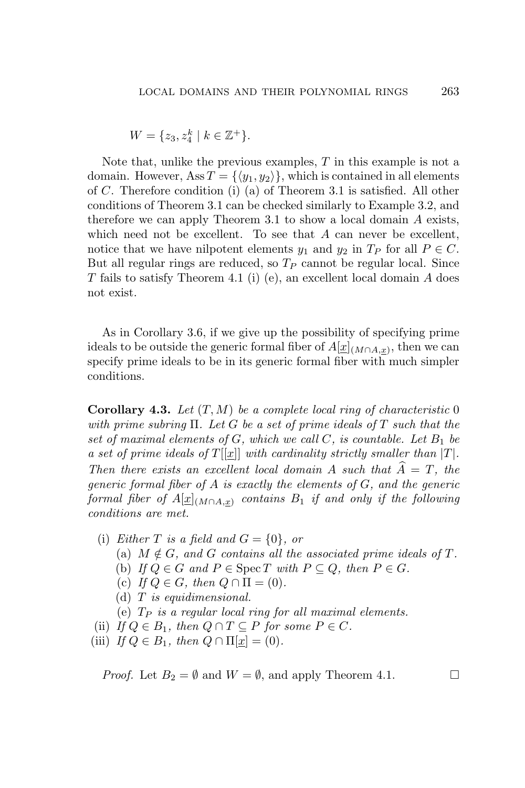$$
W = \{z_3, z_4^k \mid k \in \mathbb{Z}^+\}.
$$

Note that, unlike the previous examples, *T* in this example is not a domain. However, Ass  $T = \{\langle y_1, y_2 \rangle\}$ , which is contained in all elements of *C*. Therefore condition (i) (a) of Theorem 3.1 is satisfied. All other conditions of Theorem 3.1 can be checked similarly to Example 3.2, and therefore we can apply Theorem 3.1 to show a local domain *A* exists, which need not be excellent. To see that *A* can never be excellent, notice that we have nilpotent elements  $y_1$  and  $y_2$  in  $T_P$  for all  $P \in C$ . But all regular rings are reduced, so *T<sup>P</sup>* cannot be regular local. Since *T* fails to satisfy Theorem 4.1 (i) (e), an excellent local domain *A* does not exist.

As in Corollary 3.6, if we give up the possibility of specifying prime ideals to be outside the generic formal fiber of  $A[\underline{x}]_{(M \cap A, \underline{x})}$ , then we can specify prime ideals to be in its generic formal fiber with much simpler conditions.

**Corollary 4.3.** *Let* (*T, M*) *be a complete local ring of characteristic* 0 *with prime subring* Π*. Let G be a set of prime ideals of T such that the* set of maximal elements of  $G$ *, which we call*  $C$ *, is countable. Let*  $B_1$  be *a set of prime ideals of*  $T[[x]]$  *with cardinality strictly smaller than*  $|T|$ *. Then there exists an excellent local domain*  $A$  *such that*  $\overline{A} = T$ *, the generic formal fiber of A is exactly the elements of G, and the generic formal fiber of A*[*x*](*M∩A,x*) *contains B*<sup>1</sup> *if and only if the following conditions are met.*

- (i) *Either*  $T$  *is a field and*  $G = \{0\}$ *, or* 
	- (a)  $M \notin G$ , and  $G$  contains all the associated prime ideals of  $T$ .
	- (b) *If*  $Q \in G$  *and*  $P \in \text{Spec } T$  *with*  $P \subseteq Q$ *, then*  $P \in G$ *.*
	- (c) If  $Q \in G$ , then  $Q \cap \Pi = (0)$ .
	- (d) *T is equidimensional.*

(e) *T<sup>P</sup> is a regular local ring for all maximal elements.*

- (ii) *If*  $Q \in B_1$ *, then*  $Q \cap T \subseteq P$  *for some*  $P \in C$ *.*
- (iii) *If*  $Q \in B_1$ *, then*  $Q \cap \Pi[x] = (0)$ *.*

*Proof.* Let  $B_2 = \emptyset$  and  $W = \emptyset$ , and apply Theorem 4.1.